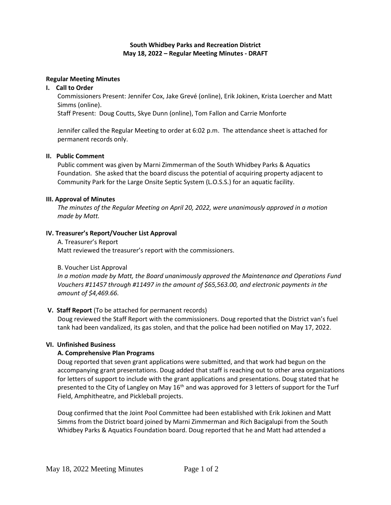### **South Whidbey Parks and Recreation District May 18, 2022 – Regular Meeting Minutes - DRAFT**

#### **Regular Meeting Minutes**

### **I. Call to Order**

Commissioners Present: Jennifer Cox, Jake Grevé (online), Erik Jokinen, Krista Loercher and Matt Simms (online).

Staff Present: Doug Coutts, Skye Dunn (online), Tom Fallon and Carrie Monforte

Jennifer called the Regular Meeting to order at 6:02 p.m. The attendance sheet is attached for permanent records only.

### **II. Public Comment**

Public comment was given by Marni Zimmerman of the South Whidbey Parks & Aquatics Foundation. She asked that the board discuss the potential of acquiring property adjacent to Community Park for the Large Onsite Septic System (L.O.S.S.) for an aquatic facility.

#### **III. Approval of Minutes**

*The minutes of the Regular Meeting on April 20, 2022, were unanimously approved in a motion made by Matt.*

### **IV. Treasurer's Report/Voucher List Approval**

A. Treasurer's Report Matt reviewed the treasurer's report with the commissioners.

#### B. Voucher List Approval

*In a motion made by Matt, the Board unanimously approved the Maintenance and Operations Fund Vouchers #11457 through #11497 in the amount of \$65,563.00, and electronic payments in the amount of \$4,469.66.*

# **V. Staff Report** (To be attached for permanent records)

Doug reviewed the Staff Report with the commissioners. Doug reported that the District van's fuel tank had been vandalized, its gas stolen, and that the police had been notified on May 17, 2022.

#### **VI. Unfinished Business**

# **A. Comprehensive Plan Programs**

Doug reported that seven grant applications were submitted, and that work had begun on the accompanying grant presentations. Doug added that staff is reaching out to other area organizations for letters of support to include with the grant applications and presentations. Doug stated that he presented to the City of Langley on May  $16<sup>th</sup>$  and was approved for 3 letters of support for the Turf Field, Amphitheatre, and Pickleball projects.

Doug confirmed that the Joint Pool Committee had been established with Erik Jokinen and Matt Simms from the District board joined by Marni Zimmerman and Rich Bacigalupi from the South Whidbey Parks & Aquatics Foundation board. Doug reported that he and Matt had attended a